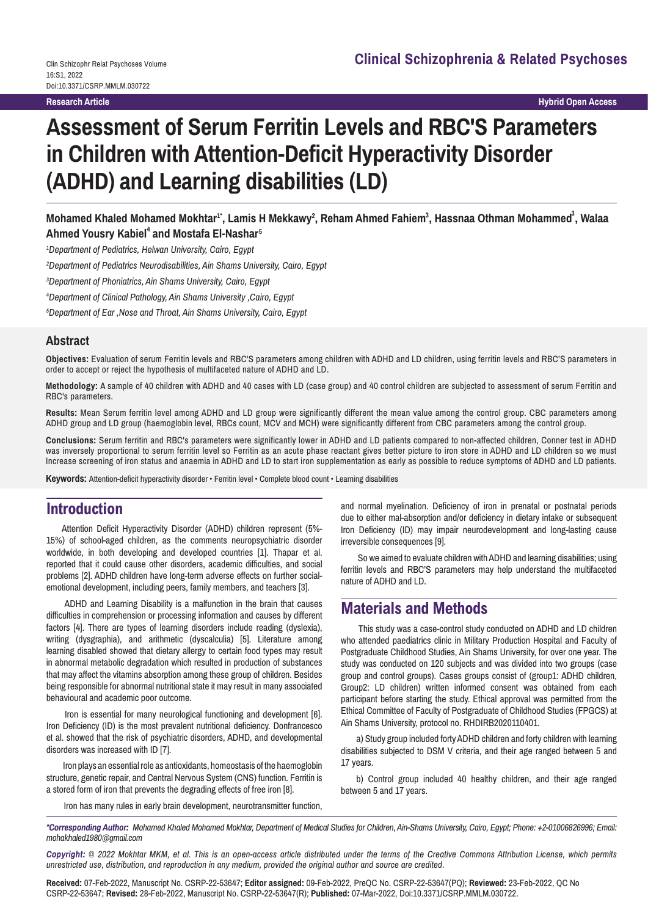# **Assessment of Serum Ferritin Levels and RBC'S Parameters in Children with Attention-Deficit Hyperactivity Disorder (ADHD) and Learning disabilities (LD)**

Mohamed Khaled Mohamed Mokhtar<sup>1•</sup>, Lamis H Mekkawy<sup>2</sup>, Reham Ahmed Fahiem<sup>3</sup>, Hassnaa Othman Mohammed<sup>3</sup>, Walaa  $A$ hmed Yousry Kabiel $^4$  and Mostafa El-Nashar $^5$ 

*1 Department of Pediatrics, Helwan University, Cairo, Egypt*

*2 Department of Pediatrics Neurodisabilities, Ain Shams University, Cairo, Egypt*

*3 Department of Phoniatrics, Ain Shams University, Cairo, Egypt*

*4 Department of Clinical Pathology, Ain Shams University ,Cairo, Egypt*

*5 Department of Ear ,Nose and Throat, Ain Shams University, Cairo, Egypt*

#### **Abstract**

**Objectives:** Evaluation of serum Ferritin levels and RBC'S parameters among children with ADHD and LD children, using ferritin levels and RBC'S parameters in order to accept or reject the hypothesis of multifaceted nature of ADHD and LD.

**Methodology:** A sample of 40 children with ADHD and 40 cases with LD (case group) and 40 control children are subjected to assessment of serum Ferritin and RBC's parameters.

**Results:** Mean Serum ferritin level among ADHD and LD group were significantly different the mean value among the control group. CBC parameters among ADHD group and LD group (haemoglobin level, RBCs count, MCV and MCH) were significantly different from CBC parameters among the control group.

**Conclusions:** Serum ferritin and RBC's parameters were significantly lower in ADHD and LD patients compared to non-affected children, Conner test in ADHD was inversely proportional to serum ferritin level so Ferritin as an acute phase reactant gives better picture to iron store in ADHD and LD children so we must Increase screening of iron status and anaemia in ADHD and LD to start iron supplementation as early as possible to reduce symptoms of ADHD and LD patients.

**Keywords:** Attention-deficit hyperactivity disorder • Ferritin level • Complete blood count • Learning disabilities

# **Introduction**

Attention Deficit Hyperactivity Disorder (ADHD) children represent (5%- 15%) of school-aged children, as the comments neuropsychiatric disorder worldwide, in both developing and developed countries [1]. Thapar et al. reported that it could cause other disorders, academic difficulties, and social problems [2]. ADHD children have long-term adverse effects on further socialemotional development, including peers, family members, and teachers [3].

 ADHD and Learning Disability is a malfunction in the brain that causes difficulties in comprehension or processing information and causes by different factors [4]. There are types of learning disorders include reading (dyslexia), writing (dysgraphia), and arithmetic (dyscalculia) [5]. Literature among learning disabled showed that dietary allergy to certain food types may result in abnormal metabolic degradation which resulted in production of substances that may affect the vitamins absorption among these group of children. Besides being responsible for abnormal nutritional state it may result in many associated behavioural and academic poor outcome.

 Iron is essential for many neurological functioning and development [6]. Iron Deficiency (ID) is the most prevalent nutritional deficiency. Donfrancesco et al. showed that the risk of psychiatric disorders, ADHD, and developmental disorders was increased with ID [7].

 Iron plays an essential role as antioxidants, homeostasis of the haemoglobin structure, genetic repair, and Central Nervous System (CNS) function. Ferritin is a stored form of iron that prevents the degrading effects of free iron [8].

and normal myelination. Deficiency of iron in prenatal or postnatal periods due to either mal-absorption and/or deficiency in dietary intake or subsequent Iron Deficiency (ID) may impair neurodevelopment and long-lasting cause irreversible consequences [9].

 So we aimed to evaluate children with ADHD and learning disabilities; using ferritin levels and RBC'S parameters may help understand the multifaceted nature of ADHD and LD.

# **Materials and Methods**

This study was a case-control study conducted on ADHD and LD children who attended paediatrics clinic in Military Production Hospital and Faculty of Postgraduate Childhood Studies, Ain Shams University, for over one year. The study was conducted on 120 subjects and was divided into two groups (case group and control groups). Cases groups consist of (group1: ADHD children, Group2: LD children) written informed consent was obtained from each participant before starting the study. Ethical approval was permitted from the Ethical Committee of Faculty of Postgraduate of Childhood Studies (FPGCS) at Ain Shams University, protocol no. RHDIRB2020110401.

a) Study group included forty ADHD children and forty children with learning disabilities subjected to DSM V criteria, and their age ranged between 5 and 17 years.

b) Control group included 40 healthy children, and their age ranged between 5 and 17 years.

Iron has many rules in early brain development, neurotransmitter function,

*\*Corresponding Author: Mohamed Khaled Mohamed Mokhtar, Department of Medical Studies for Children, Ain-Shams University, Cairo, Egypt; Phone: +2-01006826996; Email: mohakhaled1980@gmail.com*

*Copyright: © 2022 Mokhtar MKM, et al. This is an open-access article distributed under the terms of the Creative Commons Attribution License, which permits unrestricted use, distribution, and reproduction in any medium, provided the original author and source are credited.*

**Received:** 07-Feb-2022, Manuscript No. CSRP-22-53647; **Editor assigned:** 09-Feb-2022, PreQC No. CSRP-22-53647(PQ); **Reviewed:** 23-Feb-2022, QC No CSRP-22-53647; **Revised:** 28-Feb-2022, Manuscript No. CSRP-22-53647(R); **Published:** 07-Mar-2022, Doi:10.3371/CSRP.MMLM.030722.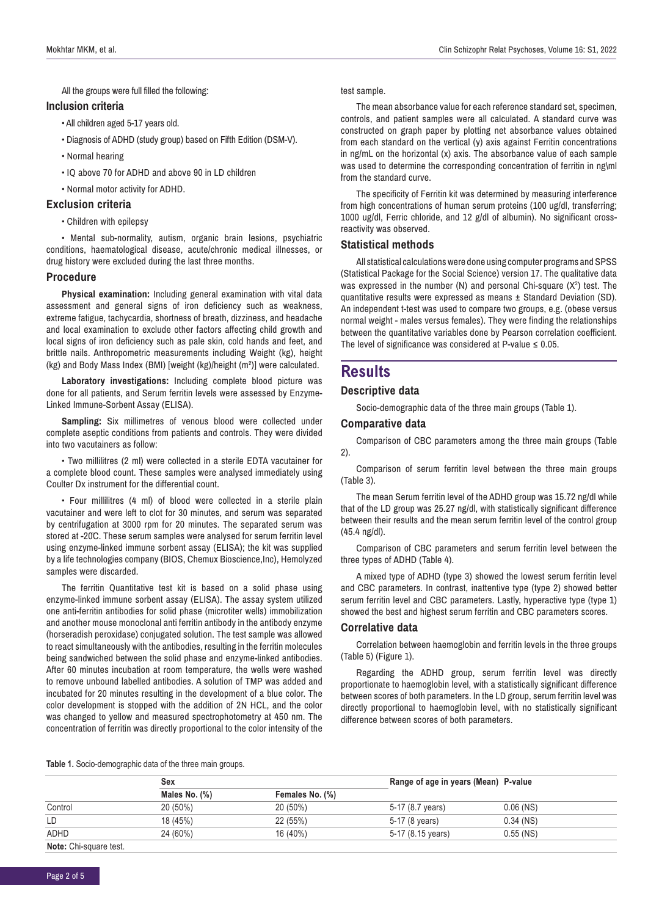All the groups were full filled the following:

#### **Inclusion criteria**

- All children aged 5-17 years old.
- Diagnosis of ADHD (study group) based on Fifth Edition (DSM-V).
- Normal hearing
- IQ above 70 for ADHD and above 90 in LD children
- Normal motor activity for ADHD.

#### **Exclusion criteria**

• Children with epilepsy

• Mental sub-normality, autism, organic brain lesions, psychiatric conditions, haematological disease, acute/chronic medical illnesses, or drug history were excluded during the last three months.

#### **Procedure**

**Physical examination:** Including general examination with vital data assessment and general signs of iron deficiency such as weakness, extreme fatigue, tachycardia, shortness of breath, dizziness, and headache and local examination to exclude other factors affecting child growth and local signs of iron deficiency such as pale skin, cold hands and feet, and brittle nails. Anthropometric measurements including Weight (kg), height (kg) and Body Mass Index (BMI) [weight (kg)/height (m²)] were calculated.

**Laboratory investigations:** Including complete blood picture was done for all patients, and Serum ferritin levels were assessed by Enzyme-Linked Immune-Sorbent Assay (ELISA).

**Sampling:** Six millimetres of venous blood were collected under complete aseptic conditions from patients and controls. They were divided into two vacutainers as follow:

• Two millilitres (2 ml) were collected in a sterile EDTA vacutainer for a complete blood count. These samples were analysed immediately using Coulter Dx instrument for the differential count.

• Four millilitres (4 ml) of blood were collected in a sterile plain vacutainer and were left to clot for 30 minutes, and serum was separated by centrifugation at 3000 rpm for 20 minutes. The separated serum was stored at -20̊C. These serum samples were analysed for serum ferritin level using enzyme-linked immune sorbent assay (ELISA); the kit was supplied by a life technologies company (BIOS, Chemux Bioscience,Inc), Hemolyzed samples were discarded.

The ferritin Quantitative test kit is based on a solid phase using enzyme-linked immune sorbent assay (ELISA). The assay system utilized one anti-ferritin antibodies for solid phase (microtiter wells) immobilization and another mouse monoclonal anti ferritin antibody in the antibody enzyme (horseradish peroxidase) conjugated solution. The test sample was allowed to react simultaneously with the antibodies, resulting in the ferritin molecules being sandwiched between the solid phase and enzyme-linked antibodies. After 60 minutes incubation at room temperature, the wells were washed to remove unbound labelled antibodies. A solution of TMP was added and incubated for 20 minutes resulting in the development of a blue color. The color development is stopped with the addition of 2N HCL, and the color was changed to yellow and measured spectrophotometry at 450 nm. The concentration of ferritin was directly proportional to the color intensity of the test sample.

The mean absorbance value for each reference standard set, specimen, controls, and patient samples were all calculated. A standard curve was constructed on graph paper by plotting net absorbance values obtained from each standard on the vertical (y) axis against Ferritin concentrations in ng/mL on the horizontal (x) axis. The absorbance value of each sample was used to determine the corresponding concentration of ferritin in ng\ml from the standard curve.

The specificity of Ferritin kit was determined by measuring interference from high concentrations of human serum proteins (100 ug/dl, transferring; 1000 ug/dl, Ferric chloride, and 12 g/dl of albumin). No significant crossreactivity was observed.

#### **Statistical methods**

All statistical calculations were done using computer programs and SPSS (Statistical Package for the Social Science) version 17. The qualitative data was expressed in the number (N) and personal Chi-square  $(X^2)$  test. The quantitative results were expressed as means ± Standard Deviation (SD). An independent t-test was used to compare two groups, e.g. (obese versus normal weight - males versus females). They were finding the relationships between the quantitative variables done by Pearson correlation coefficient. The level of significance was considered at P-value  $\leq 0.05$ .

# **Results**

#### **Descriptive data**

Socio-demographic data of the three main groups (Table 1).

#### **Comparative data**

Comparison of CBC parameters among the three main groups (Table 2).

Comparison of serum ferritin level between the three main groups (Table 3).

The mean Serum ferritin level of the ADHD group was 15.72 ng/dl while that of the LD group was 25.27 ng/dl, with statistically significant difference between their results and the mean serum ferritin level of the control group (45.4 ng/dl).

Comparison of CBC parameters and serum ferritin level between the three types of ADHD (Table 4).

A mixed type of ADHD (type 3) showed the lowest serum ferritin level and CBC parameters. In contrast, inattentive type (type 2) showed better serum ferritin level and CBC parameters. Lastly, hyperactive type (type 1) showed the best and highest serum ferritin and CBC parameters scores.

#### **Correlative data**

Correlation between haemoglobin and ferritin levels in the three groups (Table 5) (Figure 1).

Regarding the ADHD group, serum ferritin level was directly proportionate to haemoglobin level, with a statistically significant difference between scores of both parameters. In the LD group, serum ferritin level was directly proportional to haemoglobin level, with no statistically significant difference between scores of both parameters.

**Table 1.** Socio-demographic data of the three main groups.

|                        | Sex           |                 | Range of age in years (Mean) P-value |             |
|------------------------|---------------|-----------------|--------------------------------------|-------------|
|                        | Males No. (%) | Females No. (%) |                                      |             |
| Control                | 20 (50%)      | 20 (50%)        | 5-17 (8.7 years)                     | $0.06$ (NS) |
| LD                     | 18 (45%)      | 22 (55%)        | 5-17 (8 years)                       | $0.34$ (NS) |
| ADHD                   | 24 (60%)      | 16 (40%)        | 5-17 (8.15 years)                    | $0.55$ (NS) |
| Note: Chi-square test. |               |                 |                                      |             |

Page 2 of 5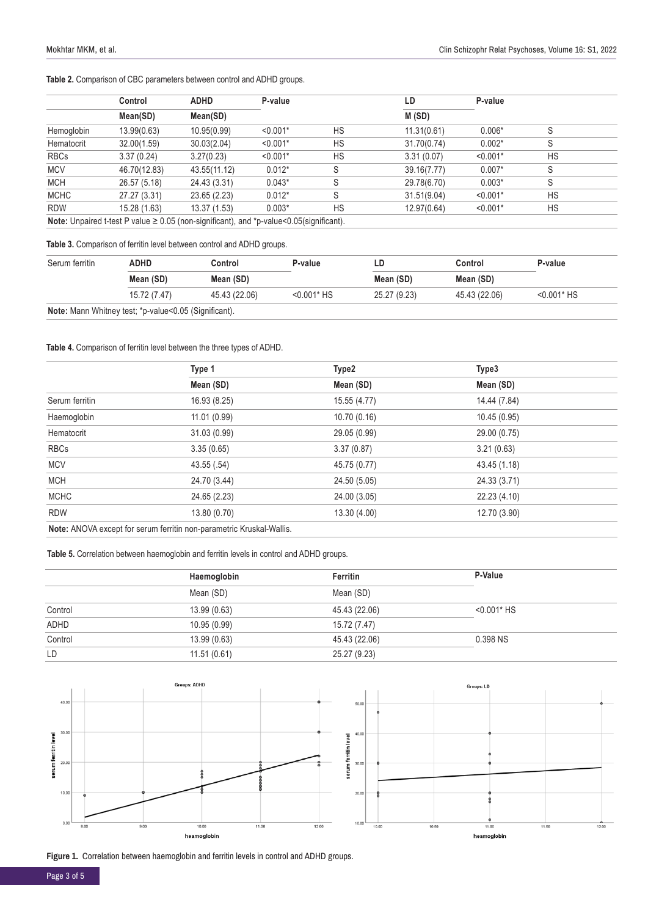|  |  |  |  |  |  |  | Table 2. Comparison of CBC parameters between control and ADHD groups. |  |  |  |  |  |
|--|--|--|--|--|--|--|------------------------------------------------------------------------|--|--|--|--|--|
|--|--|--|--|--|--|--|------------------------------------------------------------------------|--|--|--|--|--|

|             | Control                                                                                             | <b>ADHD</b>  | P-value    |    | LD          | P-value    |    |  |
|-------------|-----------------------------------------------------------------------------------------------------|--------------|------------|----|-------------|------------|----|--|
|             | Mean(SD)                                                                                            | Mean(SD)     |            |    | M(SD)       |            |    |  |
| Hemoglobin  | 13.99(0.63)                                                                                         | 10.95(0.99)  | $< 0.001*$ | HS | 11.31(0.61) | $0.006*$   | S  |  |
| Hematocrit  | 32.00(1.59)                                                                                         | 30.03(2.04)  | $< 0.001*$ | HS | 31.70(0.74) | $0.002*$   | S  |  |
| <b>RBCs</b> | 3.37(0.24)                                                                                          | 3.27(0.23)   | $< 0.001*$ | HS | 3.31(0.07)  | $< 0.001*$ | HS |  |
| <b>MCV</b>  | 46.70(12.83)                                                                                        | 43.55(11.12) | $0.012*$   | S  | 39.16(7.77) | $0.007*$   | S  |  |
| <b>MCH</b>  | 26.57 (5.18)                                                                                        | 24.43 (3.31) | $0.043*$   | S  | 29.78(6.70) | $0.003*$   | S  |  |
| <b>MCHC</b> | 27.27 (3.31)                                                                                        | 23.65 (2.23) | $0.012*$   | S  | 31.51(9.04) | $< 0.001*$ | HS |  |
| <b>RDW</b>  | 15.28 (1.63)                                                                                        | 13.37(1.53)  | $0.003*$   | HS | 12.97(0.64) | $< 0.001*$ | HS |  |
|             | <b>Note:</b> Unpaired t-test P value $\geq 0.05$ (non-significant), and *p-value<0.05(significant). |              |            |    |             |            |    |  |

#### **Table 3.** Comparison of ferritin level between control and ADHD groups.

| Serum ferritin | ADHD                                                  | Control<br>Mean (SD)<br>Mean (SD) |                | LD           | Control       | P-value       |
|----------------|-------------------------------------------------------|-----------------------------------|----------------|--------------|---------------|---------------|
|                |                                                       |                                   |                | Mean (SD)    | Mean (SD)     |               |
|                | 15.72 (7.47)                                          | 45.43 (22.06)                     | $< 0.001$ * HS | 25.27 (9.23) | 45.43 (22.06) | $<$ 0.001* HS |
|                | Note: Mann Whitney test; *p-value<0.05 (Significant). |                                   |                |              |               |               |

#### **Table 4.** Comparison of ferritin level between the three types of ADHD.

|                | Type 1                                                               | Type2        | Type3        |  |
|----------------|----------------------------------------------------------------------|--------------|--------------|--|
|                | Mean (SD)                                                            | Mean (SD)    | Mean (SD)    |  |
| Serum ferritin | 16.93 (8.25)                                                         | 15.55 (4.77) | 14.44 (7.84) |  |
| Haemoglobin    | 11.01(0.99)                                                          | 10.70(0.16)  | 10.45 (0.95) |  |
| Hematocrit     | 31.03 (0.99)                                                         | 29.05 (0.99) | 29.00 (0.75) |  |
| <b>RBCs</b>    | 3.35(0.65)                                                           | 3.37(0.87)   | 3.21(0.63)   |  |
| <b>MCV</b>     | 43.55(.54)                                                           | 45.75 (0.77) | 43.45 (1.18) |  |
| <b>MCH</b>     | 24.70 (3.44)                                                         | 24.50 (5.05) | 24.33 (3.71) |  |
| <b>MCHC</b>    | 24.65 (2.23)                                                         | 24.00 (3.05) | 22.23 (4.10) |  |
| <b>RDW</b>     | 13.80 (0.70)                                                         | 13.30 (4.00) | 12.70 (3.90) |  |
|                | Note: ANOVA except for serum ferritin non-parametric Kruskal-Wallis. |              |              |  |

**Table 5.** Correlation between haemoglobin and ferritin levels in control and ADHD groups.

|         | Haemoglobin  | Ferritin      | P-Value        |
|---------|--------------|---------------|----------------|
|         | Mean (SD)    | Mean (SD)     |                |
| Control | 13.99 (0.63) | 45.43 (22.06) | $< 0.001$ * HS |
| ADHD    | 10.95 (0.99) | 15.72 (7.47)  |                |
| Control | 13.99(0.63)  | 45.43 (22.06) | 0.398 NS       |
| LD      | 11.51(0.61)  | 25.27 (9.23)  |                |



**Figure 1.** Correlation between haemoglobin and ferritin levels in control and ADHD groups.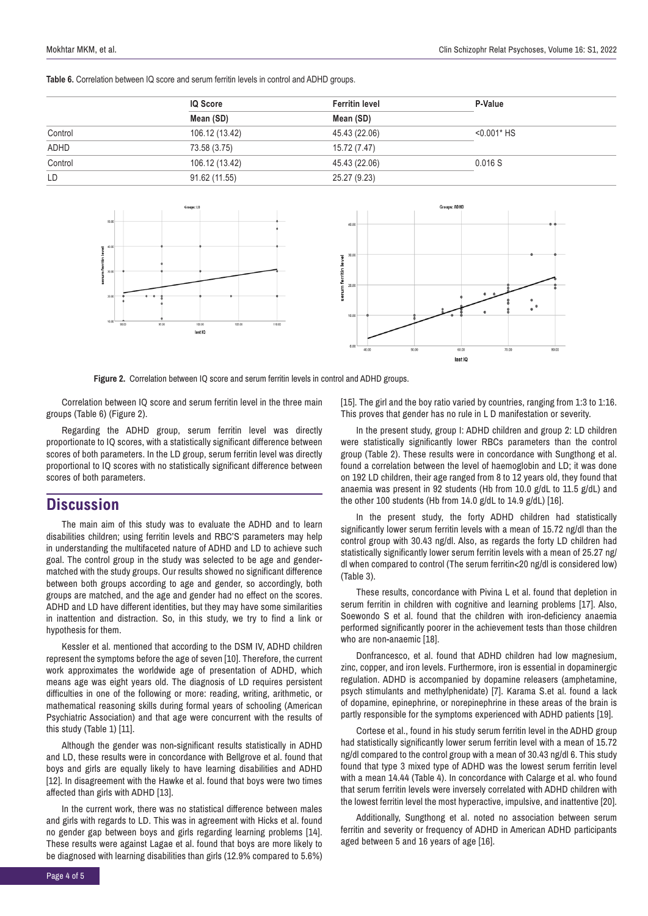**Table 6.** Correlation between IQ score and serum ferritin levels in control and ADHD groups.

|         | IQ Score       | <b>Ferritin level</b> | P-Value        |  |
|---------|----------------|-----------------------|----------------|--|
|         | Mean (SD)      | Mean (SD)             |                |  |
| Control | 106.12 (13.42) | 45.43 (22.06)         | $< 0.001$ * HS |  |
| ADHD    | 73.58 (3.75)   | 15.72 (7.47)          |                |  |
| Control | 106.12 (13.42) | 45.43 (22.06)         | 0.016S         |  |
| LD      | 91.62 (11.55)  | 25.27 (9.23)          |                |  |





**Figure 2.** Correlation between IO score and serum ferritin levels in control and ADHD groups.

Correlation between IQ score and serum ferritin level in the three main groups (Table 6) (Figure 2).

Regarding the ADHD group, serum ferritin level was directly proportionate to IQ scores, with a statistically significant difference between scores of both parameters. In the LD group, serum ferritin level was directly proportional to IQ scores with no statistically significant difference between scores of both parameters.

### **Discussion**

The main aim of this study was to evaluate the ADHD and to learn disabilities children; using ferritin levels and RBC'S parameters may help in understanding the multifaceted nature of ADHD and LD to achieve such goal. The control group in the study was selected to be age and gendermatched with the study groups. Our results showed no significant difference between both groups according to age and gender, so accordingly, both groups are matched, and the age and gender had no effect on the scores. ADHD and LD have different identities, but they may have some similarities in inattention and distraction. So, in this study, we try to find a link or hypothesis for them.

Kessler et al. mentioned that according to the DSM IV, ADHD children represent the symptoms before the age of seven [10]. Therefore, the current work approximates the worldwide age of presentation of ADHD, which means age was eight years old. The diagnosis of LD requires persistent difficulties in one of the following or more: reading, writing, arithmetic, or mathematical reasoning skills during formal years of schooling (American Psychiatric Association) and that age were concurrent with the results of this study (Table 1) [11].

Although the gender was non-significant results statistically in ADHD and LD, these results were in concordance with Bellgrove et al. found that boys and girls are equally likely to have learning disabilities and ADHD [12]. In disagreement with the Hawke et al. found that boys were two times affected than girls with ADHD [13].

In the current work, there was no statistical difference between males and girls with regards to LD. This was in agreement with Hicks et al. found no gender gap between boys and girls regarding learning problems [14]. These results were against Lagae et al. found that boys are more likely to be diagnosed with learning disabilities than girls (12.9% compared to 5.6%)

[15]. The girl and the boy ratio varied by countries, ranging from 1:3 to 1:16. This proves that gender has no rule in L D manifestation or severity.

In the present study, group I: ADHD children and group 2: LD children were statistically significantly lower RBCs parameters than the control group (Table 2). These results were in concordance with Sungthong et al. found a correlation between the level of haemoglobin and LD; it was done on 192 LD children, their age ranged from 8 to 12 years old, they found that anaemia was present in 92 students (Hb from 10.0 g/dL to 11.5 g/dL) and the other 100 students (Hb from 14.0 g/dL to 14.9 g/dL) [16].

In the present study, the forty ADHD children had statistically significantly lower serum ferritin levels with a mean of 15.72 ng/dl than the control group with 30.43 ng/dl. Also, as regards the forty LD children had statistically significantly lower serum ferritin levels with a mean of 25.27 ng/ dl when compared to control (The serum ferritin<20 ng/dl is considered low) (Table 3).

These results, concordance with Pivina L et al. found that depletion in serum ferritin in children with cognitive and learning problems [17]. Also, Soewondo S et al. found that the children with iron-deficiency anaemia performed significantly poorer in the achievement tests than those children who are non-anaemic [18].

Donfrancesco, et al. found that ADHD children had low magnesium, zinc, copper, and iron levels. Furthermore, iron is essential in dopaminergic regulation. ADHD is accompanied by dopamine releasers (amphetamine, psych stimulants and methylphenidate) [7]. Karama S.et al. found a lack of dopamine, epinephrine, or norepinephrine in these areas of the brain is partly responsible for the symptoms experienced with ADHD patients [19].

Cortese et al., found in his study serum ferritin level in the ADHD group had statistically significantly lower serum ferritin level with a mean of 15.72 ng/dl compared to the control group with a mean of 30.43 ng/dl 6. This study found that type 3 mixed type of ADHD was the lowest serum ferritin level with a mean 14.44 (Table 4). In concordance with Calarge et al. who found that serum ferritin levels were inversely correlated with ADHD children with the lowest ferritin level the most hyperactive, impulsive, and inattentive [20].

Additionally, Sungthong et al. noted no association between serum ferritin and severity or frequency of ADHD in American ADHD participants aged between 5 and 16 years of age [16].